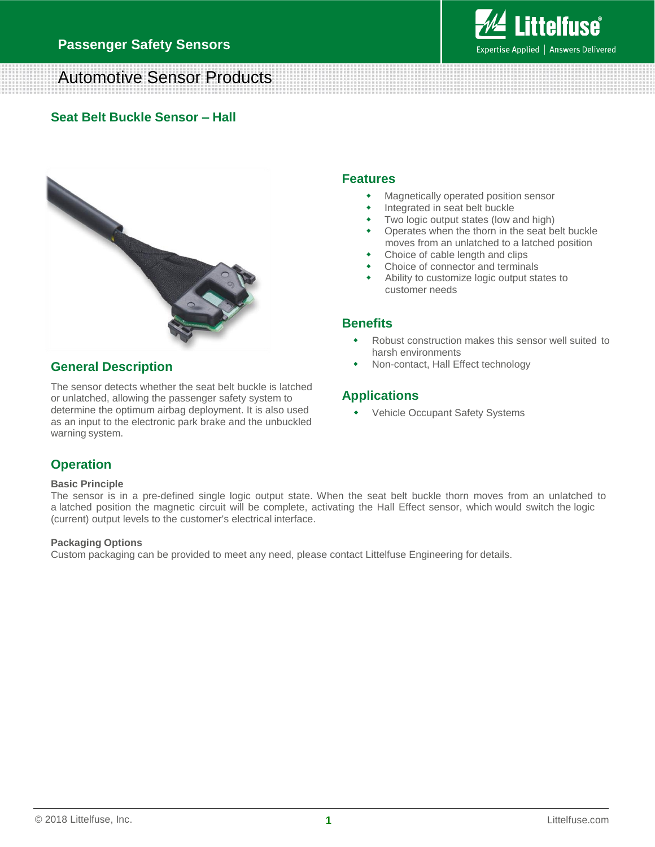

# Automotive Sensor Products

### **Seat Belt Buckle Sensor – Hall**



#### **General Description**

The sensor detects whether the seat belt buckle is latched or unlatched, allowing the passenger safety system to determine the optimum airbag deployment. It is also used as an input to the electronic park brake and the unbuckled warning system.

#### **Features**

- Magnetically operated position sensor
- Integrated in seat belt buckle
- Two logic output states (low and high)
- Operates when the thorn in the seat belt buckle moves from an unlatched to a latched position
- Choice of cable length and clips
- Choice of connector and terminals
- Ability to customize logic output states to customer needs

### **Benefits**

- Robust construction makes this sensor well suited to harsh environments
- Non-contact, Hall Effect technology

### **Applications**

Vehicle Occupant Safety Systems

## **Operation**

#### **Basic Principle**

The sensor is in a pre-defined single logic output state. When the seat belt buckle thorn moves from an unlatched to a latched position the magnetic circuit will be complete, activating the Hall Effect sensor, which would switch the logic (current) output levels to the customer's electrical interface.

#### **Packaging Options**

Custom packaging can be provided to meet any need, please contact Littelfuse Engineering for details.